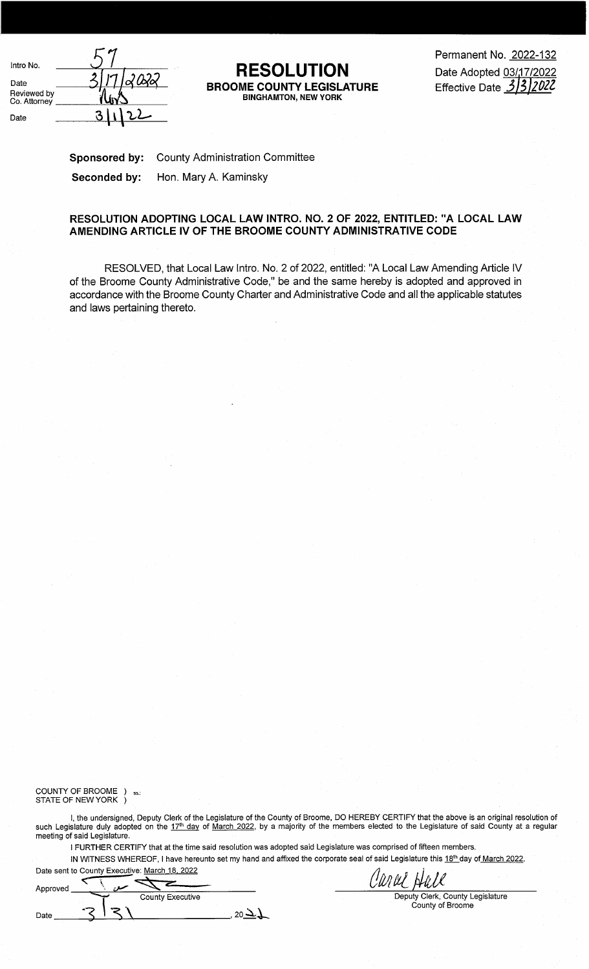| Intro No.<br><b>RESOLUTION</b><br>Date<br><b>BROOME COUNTY LEGISLATURE</b><br>Reviewed by<br><b>BINGHAMTON, NEW YORK</b><br>` liY_<br>Co. Attorney<br>Date | Permanent No. 2022-132<br>Date Adopted 03/17/2022<br>312022<br>Effective Date $3/3$ |
|------------------------------------------------------------------------------------------------------------------------------------------------------------|-------------------------------------------------------------------------------------|
|------------------------------------------------------------------------------------------------------------------------------------------------------------|-------------------------------------------------------------------------------------|

## **RESOLUTION BINGHAMTON, NEGISLATURE**<br>BINGHAMTON, NEW YORK

**Sponsored by:** County Administration Committee **Seconded by:** Hon. Mary A. Kaminsky

## **RESOLUTION ADOPTING LOCAL LAW INTRO. NO. 2 OF 2022, ENTITLED: "A LOCAL LAW AMENDING ARTICLE IV OF THE BROOME COUNTY ADMINISTRATIVE CODE**

RESOLVED, that Local Law Intro. No. 2 of 2022, entitled: "A Local Law Amending Article IV of the Broome County Administrative Code," be and the same hereby is adopted and approved in accordance with the Broome County Charter and Administrative Code and all the applicable statutes and laws pertaining thereto.

## COUNTY OF BROOME  $\,$  )  $\,$   $_{\rm ss.:}$ STATE OF NEW YORK )

I, the undersigned, Deputy Clerk of the Legislature of the County of Broome, DO HEREBY CERTIFY that the above is an original resolution of such Legislature duly adopted on the 17<sup>th</sup> day of March 2022, by a majority of the members elected to the Legislature of said County at a regular meeting of said Legislature.

I FURTHER CERTIFY that at the time said resolution was adopted said Legislature was comprised of fifteen members.

IN WITNESS WHEREOF, I have hereunto set my hand and affixed the corporate seal of said Legislature this 18<sup>th</sup> day of March 2022.

Date sent to County Executive: <u>March 18, 2022</u><br>Approved

| Approved |                         |  |
|----------|-------------------------|--|
|          | <b>County Executive</b> |  |
| Date     |                         |  |

Canal Hall

Deputy Clerk, County Legislature County of Broome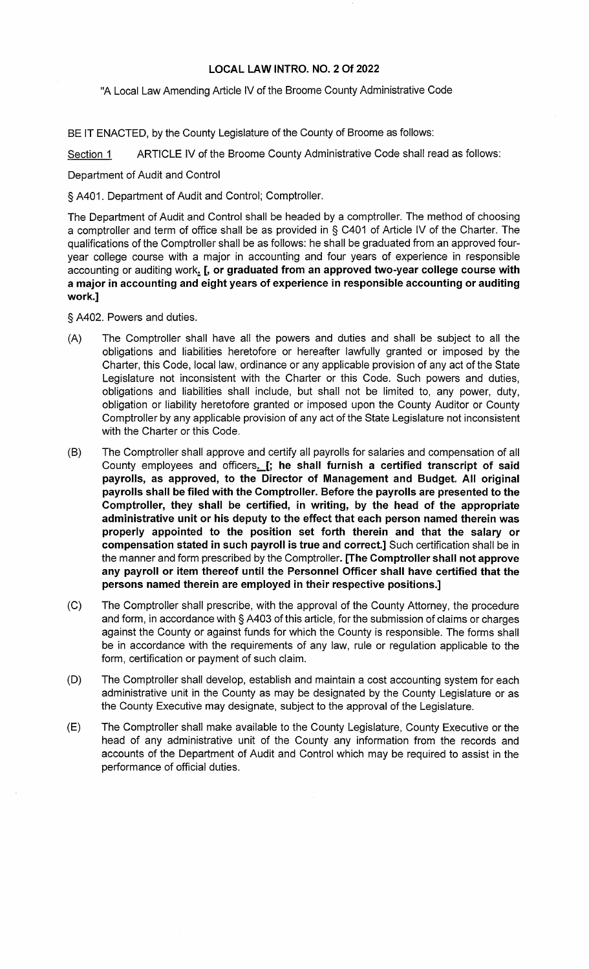## **LOCAL LAW INTRO. NO. 2 Of 2022**

"A Local Law Amending Article IV of the Broome County Administrative Code

BE IT ENACTED, by the County Legislature of the County of Broome as follows:

Section 1 ARTICLE IV of the Broome County Administrative Code shall read as follows:

Department of Audit and Control

§ A401. Department of Audit and Control; Comptroller.

The Department of Audit and Control shall be headed by a comptroller. The method of choosing a comptroller and term of office shall be as provided in § C401 of Article IV of the Charter. The qualifications of the Comptroller shall be as follows: he shall be graduated from an approved fouryear college course with a major in accounting and four years of experience in responsible accounting or auditing work. [, or graduated from an approved two-year college course with **a major in accounting and eight years of experience in responsible accounting or auditing work.]** 

§ A402. Powers and duties.

- (A) The Comptroller shall have all the powers and duties and shall be subject to all the obligations and liabilities heretofore or hereafter lawfully granted or imposed by the Charter, this Code, local law, ordinance or any applicable provision of any act of the State Legislature not inconsistent with the Charter or this Code. Such powers and duties, obligations and liabilities shall include, but shall not be limited to, any power, duty, obligation or liability heretofore granted or imposed upon the County Auditor or County Comptroller by any applicable provision of any act of the State Legislature not inconsistent with the Charter or this Code.
- (B) The Comptroller shall approve and certify all payrolls for salaries and compensation of all County employees and officers. [; he shall furnish a certified transcript of said **payrolls, as approved, to the Director of Management and Budget. All original payrolls shall be filed with the Comptroller. Before the payrolls are presented to the Comptroller, they shall be certified, in writing, by the head of the appropriate administrative unit or his deputy to the effect that each person named therein was properly appointed to the position set forth therein and that the salary or compensation stated in such payroll is true and correct.]** Such certification shall be in the manner and form prescribed by the Comptroller. **[The Comptroller shall not approve any payroll or item thereof until the Personnel Officer shall have certified that the persons named therein are employed in their respective positions.]**
- (C) The Comptroller shall prescribe, with the approval of the County Attorney, the procedure and form, in accordance with § A403 of this article, for the submission of claims or charges against the County or against funds for which the County is responsible. The forms shall be in accordance with the requirements of any law, rule or regulation applicable to the form, certification or payment of such claim.
- (D) The Comptroller shall develop, establish and maintain a cost accounting system for each administrative unit in the County as may be designated by the County Legislature or as the County Executive may designate, subject to the approval of the Legislature.
- (E) The Comptroller shall make available to the County Legislature, County Executive or the head of any administrative unit of the County any information from the records and accounts of the Department of Audit and Control which may be required to assist in the performance of official duties.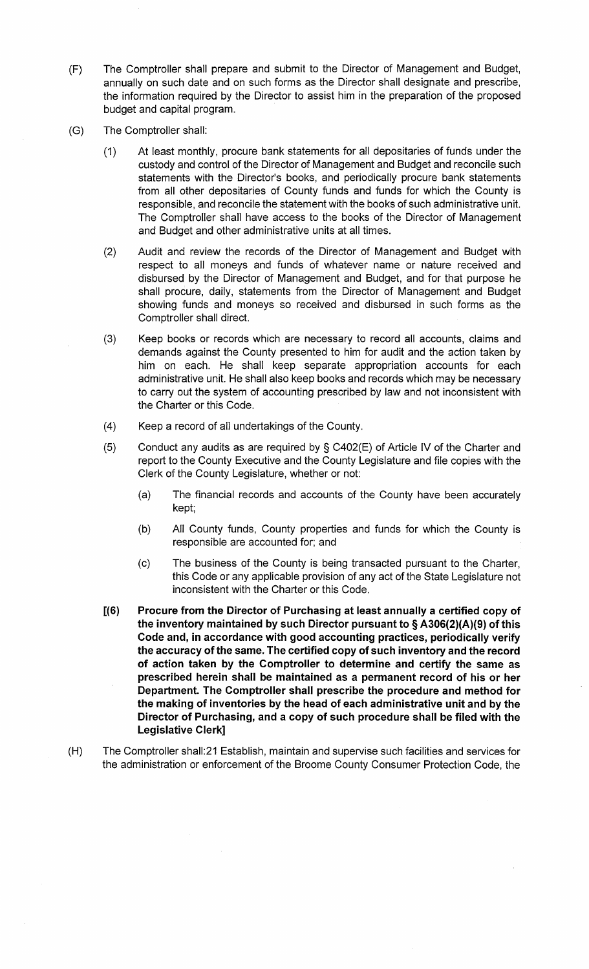- (F) The Comptroller shall prepare and submit to the Director of Management and Budget, annually on such date and on such forms as the Director shall designate and prescribe, the information required by the Director to assist him in the preparation of the proposed budget and capital program.
- (G) The Comptroller shall:
	- (1) At least monthly, procure bank statements for all depositaries of funds under the custody and control of the Director of Management and Budget and reconcile such statements with the Director's books, and periodically procure bank statements from all other depositaries of County funds and funds for which the County is responsible, and reconcile the statement with the books of such administrative unit. The Comptroller shall have access to the books of the Director of Management and Budget and other administrative units at all times.
	- (2) Audit and review the records of the Director of Management and Budget with respect to all moneys and funds of whatever name or nature received and disbursed by the Director of Management and Budget, and for that purpose he shall procure, daily, statements from the Director of Management and Budget showing funds and moneys so received and disbursed in such forms as the Comptroller shall direct.
	- (3) Keep books or records which are necessary to record all accounts, claims and demands against the County presented to him for audit and the action taken by him on each. He shall keep separate appropriation accounts for each administrative unit. He shall also keep books and records which may be necessary to carry out the system of accounting prescribed by law and not inconsistent with the Charter or this Code.
	- (4) Keep a record of all undertakings of the County.
	- (5) Conduct any audits as are required by § C402(E) of Article IV of the Charter and report to the County Executive and the County Legislature and file copies with the Clerk of the County Legislature, whether or not:
		- (a) The financial records and accounts of the County have been accurately kept;
		- (b) All County funds, County properties and funds for which the County is responsible are accounted for; and
		- (c) The business of the County is being transacted pursuant to the Charter, this Code or any applicable provision of any act of the State Legislature not inconsistent with the Charter or this Code.
	- **[(6) Procure from the Director of Purchasing at least annually a certified copy of the inventory maintained by such Director pursuant to § A306(2)(A)(9) of this Code and, in accordance with good accounting practices, periodically verify the accuracy of the same. The certified copy of such inventory and the record of action taken by the Comptroller to determine and certify the same as prescribed herein shall be maintained as a permanent record of his or her Department. The Comptroller shall prescribe the procedure and method for the making of inventories by the head of each administrative unit and by the Director of Purchasing, and a copy of such procedure shall be filed with the Legislative Clerk]**
- (H) The Comptroller shall:21 Establish, maintain and supervise such facilities and services for the administration or enforcement of the Broome County Consumer Protection Code, the